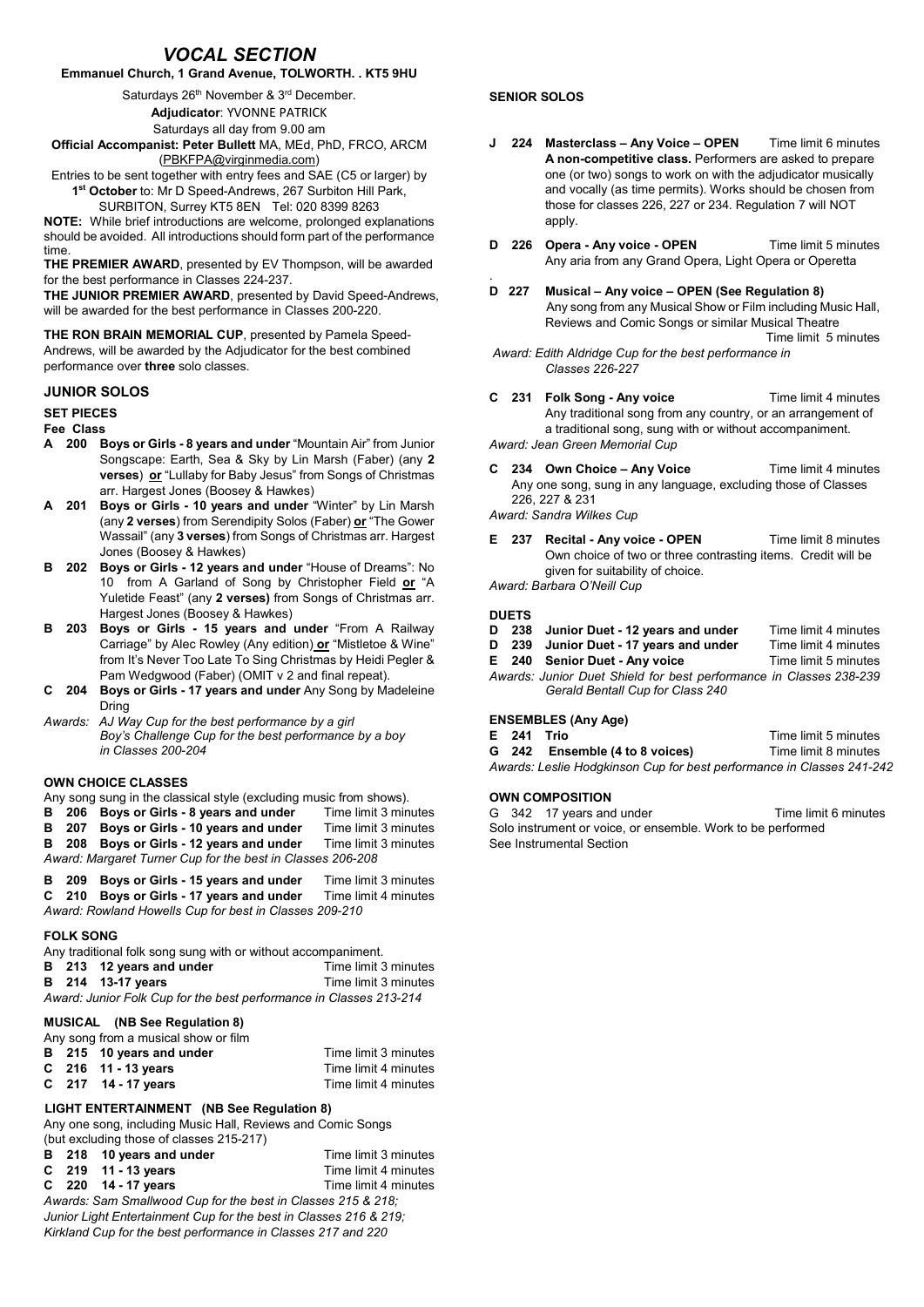# *VOCAL SECTION*

## Emmanuel Church, 1 Grand Avenue, TOLWORTH. . KT5 9HU

Saturdays 26<sup>th</sup> November & 3<sup>rd</sup> December.

Adjudicator: YVONNE PATRICK

Saturdays all day from 9.00 am

Official Accompanist: Peter Bullett MA, MEd, PhD, FRCO, ARCM [\(PBKFPA@virginmedia.com](mailto:PBKFPA@virginmedia.com))

Entries to be sent together with entry fees and SAE (C5 or larger) by 1<sup>st</sup> October to: Mr D Speed-Andrews, 267 Surbiton Hill Park,

SURBITON, Surrey KT5 8EN Tel: 020 8399 8263

NOTE: While brief introductions are welcome, prolonged explanations should be avoided. All introductions should form part of the performance time. THE PREMIER AWARD, presented by EV Thompson, will be awarded

for the best performance in Classes 224-237.

THE JUNIOR PREMIER AWARD, presented by David Speed-Andrews, will be awarded for the best performance in Classes 200-220.

THE RON BRAIN MEMORIAL CUP, presented by Pamela Speed-Andrews, will be awarded by the Adjudicator for the best combined performance over three solo classes.

### JUNIOR SOLOS

#### SET PIECES

## Fee Class

- A 200 Boys or Girls 8 years and under "Mountain Air" from Junior Songscape: Earth, Sea & Sky by Lin Marsh (Faber) (any 2 verses) or "Lullaby for Baby Jesus" from Songs of Christmas arr. Hargest Jones (Boosey & Hawkes)
- A 201 Boys or Girls 10 years and under "Winter" by Lin Marsh (any 2 verses) from Serendipity Solos (Faber) or "The Gower Wassail" (any 3 verses) from Songs of Christmas arr. Hargest Jones (Boosey & Hawkes)
- B 202 Boys or Girls 12 years and under "House of Dreams": No 10 from A Garland of Song by Christopher Field or "A Yuletide Feast" (any 2 verses) from Songs of Christmas arr. Hargest Jones (Boosey & Hawkes)
- B 203 Boys or Girls 15 years and under "From A Railway Carriage" by Alec Rowley (Any edition) or "Mistletoe & Wine" from It's Never Too Late To Sing Christmas by Heidi Pegler & Pam Wedgwood (Faber) (OMIT v 2 and final repeat).
- C 204 Boys or Girls 17 years and under Any Song by Madeleine Dring
- *Awards: AJ Way Cup for the best performance by a girl Boy's Challenge Cup for the best performance by a boy in Classes 200-204*

### OWN CHOICE CLASSES

Any song sung in the classical style (excluding music from shows).<br>**B** 206 Boys or Girls - 8 years and under Time limit 3 minutes

- B 206 Boys or Girls 8 years and under Time limit 3 minutes<br>B 207 Boys or Girls 10 years and under Time limit 3 minutes
- B 207 Boys or Girls 10 years and under Time limit 3 minutes<br>B 208 Boys or Girls 12 years and under Time limit 3 minutes
- B 208 Boys or Girls 12 years and under
- *Award: Margaret Turner Cup for the best in Classes 206-208*

|                                                        |  | B 209 Boys or Girls - 15 years and under | Time limit 3 minutes |  |  |  |
|--------------------------------------------------------|--|------------------------------------------|----------------------|--|--|--|
|                                                        |  | C 210 Boys or Girls - 17 years and under | Time limit 4 minutes |  |  |  |
| Award: Rowland Howells Cup for best in Classes 209-210 |  |                                          |                      |  |  |  |

#### FOLK SONG

Any traditional folk song sung with or without accompaniment. B 213 12 years and under Time limit 3 minutes<br>
B 214 13-17 years Time limit 3 minutes B 214 13-17 years *Award: Junior Folk Cup for the best performance in Classes 213-214*

#### MUSICAL (NB See Regulation 8)

|  | Any song from a musical show or film |  |
|--|--------------------------------------|--|
|  |                                      |  |

|  | B 215 10 years and under | Time limit 3 minutes |
|--|--------------------------|----------------------|
|  | $C$ 216 11 - 13 years    | Time limit 4 minutes |
|  | C $217$ 14 - 17 years    | Time limit 4 minutes |

### LIGHT ENTERTAINMENT (NB See Regulation 8)

Any one song, including Music Hall, Reviews and Comic Songs (but excluding those of classes 215-217)

B 218 10 years and under Time limit 3 minutes<br>C 219 11 - 13 years Time limit 4 minutes  $C$  219 11 - 13 years C 220 14 - 17 years Time limit 4 minutes

*Awards: Sam Smallwood Cup for the best in Classes 215 & 218; Junior Light Entertainment Cup for the best in Classes 216 & 219; Kirkland Cup for the best performance in Classes 217 and 220*

## SENIOR SOLOS

- J 224 Masterclass Any Voice OPEN Time limit 6 minutes A non-competitive class. Performers are asked to prepare one (or two) songs to work on with the adjudicator musically and vocally (as time permits). Works should be chosen from those for classes 226, 227 or 234. Regulation 7 will NOT apply.
- D 226 Opera Any voice OPEN Time limit 5 minutes Any aria from any Grand Opera, Light Opera or Operetta
- . D 227 Musical – Any voice – OPEN (See Regulation 8) Any song from any Musical Show or Film including Music Hall, Reviews and Comic Songs or similar Musical Theatre Time limit 5 minutes *Award: Edith Aldridge Cup for the best performance in*

*Classes 226-227*

- C 231 Folk Song Any voice Time limit 4 minutes Any traditional song from any country, or an arrangement of a traditional song, sung with or without accompaniment. *Award: Jean Green Memorial Cup*
- C 234 Own Choice Any Voice Time limit 4 minutes Any one song, sung in any language, excluding those of Classes 226, 227 & 231

*Award: Sandra Wilkes Cup*

E 237 Recital - Any voice - OPEN Time limit 8 minutes Own choice of two or three contrasting items. Credit will be given for suitability of choice.

*Award: Barbara O'Neill Cup*

### **DUETS**

- D 238 Junior Duet 12 years and under Time limit 4 minutes<br>D 239 Junior Duet 17 years and under Time limit 4 minutes
- D 239 Junior Duet 17 years and under
- E 240 Senior Duet Any voice Time limit 5 minutes *Awards: Junior Duet Shield for best performance in Classes 238-239 Gerald Bentall Cup for Class 240*

### ENSEMBLES (Any Age)

E 241 Trio **The State 1 Trio 1 Time limit 5 minutes**<br> **G** 242 Ensemble (4 to 8 voices) Time limit 8 minutes G 242 Ensemble (4 to 8 voices) *Awards: Leslie Hodgkinson Cup for best performance in Classes 241-242*

## OWN COMPOSITION

G 342 17 years and under Time limit 6 minutes Solo instrument or voice, or ensemble. Work to be performed See Instrumental Section